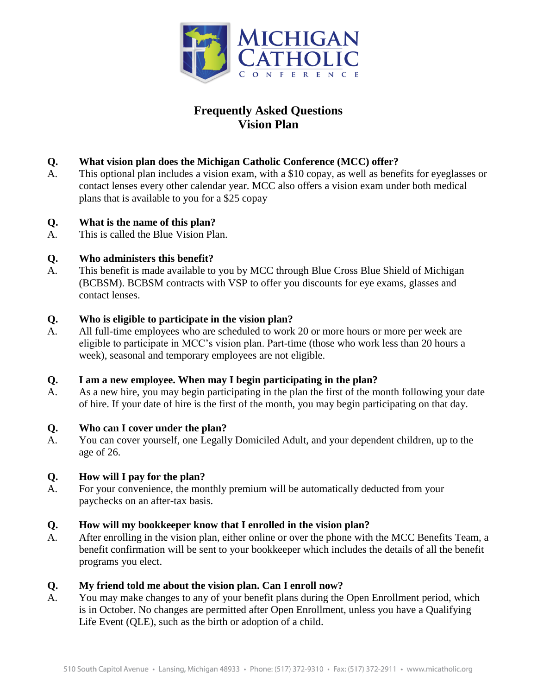

# **Frequently Asked Questions Vision Plan**

# **Q. What vision plan does the Michigan Catholic Conference (MCC) offer?**

A. This optional plan includes a vision exam, with a \$10 copay, as well as benefits for eyeglasses or contact lenses every other calendar year. MCC also offers a vision exam under both medical plans that is available to you for a \$25 copay

## **Q. What is the name of this plan?**

A. This is called the Blue Vision Plan.

## **Q. Who administers this benefit?**

A. This benefit is made available to you by MCC through Blue Cross Blue Shield of Michigan (BCBSM). BCBSM contracts with VSP to offer you discounts for eye exams, glasses and contact lenses.

#### **Q. Who is eligible to participate in the vision plan?**

A. All full-time employees who are scheduled to work 20 or more hours or more per week are eligible to participate in MCC's vision plan. Part-time (those who work less than 20 hours a week), seasonal and temporary employees are not eligible.

# **Q. I am a new employee. When may I begin participating in the plan?**

A. As a new hire, you may begin participating in the plan the first of the month following your date of hire. If your date of hire is the first of the month, you may begin participating on that day.

#### **Q. Who can I cover under the plan?**

A. You can cover yourself, one Legally Domiciled Adult, and your dependent children, up to the age of 26.

#### **Q. How will I pay for the plan?**

A. For your convenience, the monthly premium will be automatically deducted from your paychecks on an after-tax basis.

#### **Q. How will my bookkeeper know that I enrolled in the vision plan?**

A. After enrolling in the vision plan, either online or over the phone with the MCC Benefits Team, a benefit confirmation will be sent to your bookkeeper which includes the details of all the benefit programs you elect.

#### **Q. My friend told me about the vision plan. Can I enroll now?**

A. You may make changes to any of your benefit plans during the Open Enrollment period, which is in October. No changes are permitted after Open Enrollment, unless you have a Qualifying Life Event (QLE), such as the birth or adoption of a child.